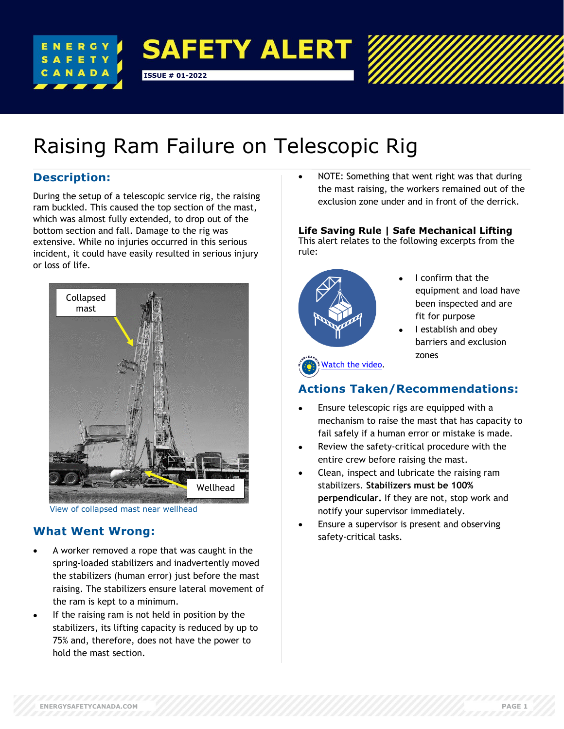

# Raising Ram Failure on Telescopic Rig

# **Description:**

During the setup of a telescopic service rig, the raising ram buckled. This caused the top section of the mast, which was almost fully extended, to drop out of the bottom section and fall. Damage to the rig was extensive. While no injuries occurred in this serious incident, it could have easily resulted in serious injury or loss of life.



View of collapsed mast near wellhead

# **What Went Wrong:**

- A worker removed a rope that was caught in the spring-loaded stabilizers and inadvertently moved the stabilizers (human error) just before the mast raising. The stabilizers ensure lateral movement of the ram is kept to a minimum.
- If the raising ram is not held in position by the stabilizers, its lifting capacity is reduced by up to 75% and, therefore, does not have the power to hold the mast section.

• NOTE: Something that went right was that during the mast raising, the workers remained out of the exclusion zone under and in front of the derrick.

### **Life Saving Rule | Safe Mechanical Lifting**

This alert relates to the following excerpts from the rule:



- I confirm that the equipment and load have been inspected and are fit for purpose
- I establish and obey barriers and exclusion zones

# **Actions Taken/Recommendations:**

- Ensure telescopic rigs are equipped with a mechanism to raise the mast that has capacity to fail safely if a human error or mistake is made.
- Review the safety-critical procedure with the entire crew before raising the mast.
- Clean, inspect and lubricate the raising ram stabilizers. **Stabilizers must be 100% perpendicular.** If they are not, stop work and notify your supervisor immediately.
- Ensure a supervisor is present and observing safety-critical tasks.